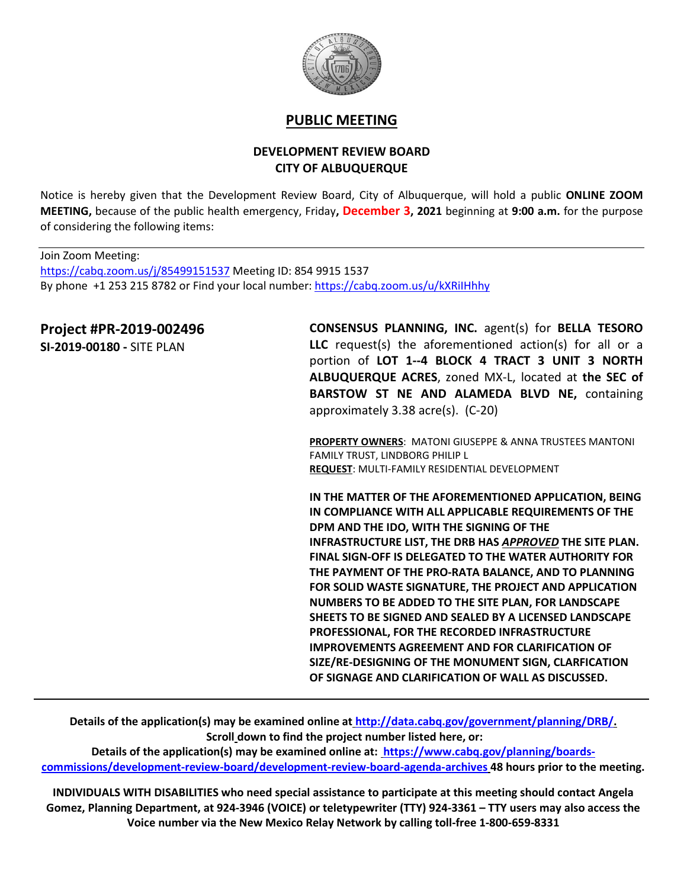

## **PUBLIC MEETING**

## **DEVELOPMENT REVIEW BOARD CITY OF ALBUQUERQUE**

Notice is hereby given that the Development Review Board, City of Albuquerque, will hold a public **ONLINE ZOOM MEETING,** because of the public health emergency, Friday**, December 3, 2021** beginning at **9:00 a.m.** for the purpose of considering the following items:

Join Zoom Meeting: <https://cabq.zoom.us/j/85499151537> Meeting ID: 854 9915 1537 By phone +1 253 215 8782 or Find your local number[: https://cabq.zoom.us/u/kXRiIHhhy](https://cabq.zoom.us/u/kXRiIHhhy)

## **Project #PR-2019-002496**

**SI-2019-00180 -** SITE PLAN

**CONSENSUS PLANNING, INC.** agent(s) for **BELLA TESORO LLC** request(s) the aforementioned action(s) for all or a portion of **LOT 1--4 BLOCK 4 TRACT 3 UNIT 3 NORTH ALBUQUERQUE ACRES**, zoned MX-L, located at **the SEC of BARSTOW ST NE AND ALAMEDA BLVD NE,** containing approximately 3.38 acre(s). (C-20)

**PROPERTY OWNERS**: MATONI GIUSEPPE & ANNA TRUSTEES MANTONI FAMILY TRUST, LINDBORG PHILIP L **REQUEST**: MULTI-FAMILY RESIDENTIAL DEVELOPMENT

**IN THE MATTER OF THE AFOREMENTIONED APPLICATION, BEING IN COMPLIANCE WITH ALL APPLICABLE REQUIREMENTS OF THE DPM AND THE IDO, WITH THE SIGNING OF THE INFRASTRUCTURE LIST, THE DRB HAS** *APPROVED* **THE SITE PLAN. FINAL SIGN-OFF IS DELEGATED TO THE WATER AUTHORITY FOR THE PAYMENT OF THE PRO-RATA BALANCE, AND TO PLANNING FOR SOLID WASTE SIGNATURE, THE PROJECT AND APPLICATION NUMBERS TO BE ADDED TO THE SITE PLAN, FOR LANDSCAPE SHEETS TO BE SIGNED AND SEALED BY A LICENSED LANDSCAPE PROFESSIONAL, FOR THE RECORDED INFRASTRUCTURE IMPROVEMENTS AGREEMENT AND FOR CLARIFICATION OF SIZE/RE-DESIGNING OF THE MONUMENT SIGN, CLARFICATION OF SIGNAGE AND CLARIFICATION OF WALL AS DISCUSSED.**

**Details of the application(s) may be examined online at [http://data.cabq.gov/government/planning/DRB/.](http://data.cabq.gov/government/planning/DRB/) Scroll down to find the project number listed here, or:**

**Details of the application(s) may be examined online at: [https://www.cabq.gov/planning/boards](https://www.cabq.gov/planning/boards-commissions/development-review-board/development-review-board-agenda-archives)[commissions/development-review-board/development-review-board-agenda-archives](https://www.cabq.gov/planning/boards-commissions/development-review-board/development-review-board-agenda-archives) 48 hours prior to the meeting.**

**INDIVIDUALS WITH DISABILITIES who need special assistance to participate at this meeting should contact Angela Gomez, Planning Department, at 924-3946 (VOICE) or teletypewriter (TTY) 924-3361 – TTY users may also access the Voice number via the New Mexico Relay Network by calling toll-free 1-800-659-8331**